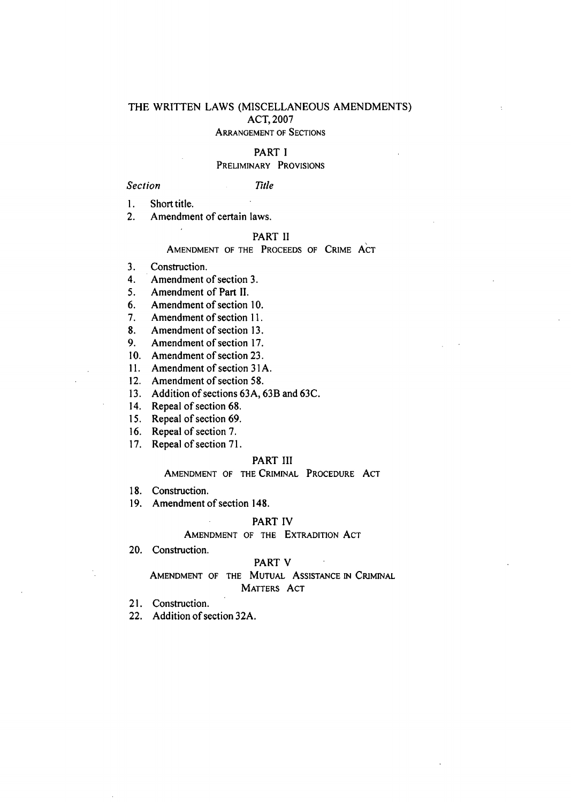# THE WRITTEN LAWS (MISCELLANEOUS AMENDMENTS) ACT, 2007 ARRANGEMENT OF SECTIONS

#### PART I

### PRELIMINARY PROVISIONS

*Section Title* 

 $\mathbf{1}$ . Short title.

 $2.$ Amendment of certain laws.

# PART II

AMENDMENT OF THE PROCEEDS OF CRIME ACT

 $3.$ Construction.

Amendment of section 3.  $4.$ 

5. Amendment of Part II.

Amendment of section 10. 6.

Amendment of section 11. 7.

Amendment of section 13. 8.

9. Amendment of section 17.

10. Amendment of section 23.

11. Amendment of section 31A.

12. Amendment of section 58.

Addition of sections 63A, 63B and 63C.

14. Repeal of section 68.

15. Repeal of section 69.

16. Repeal of section 7.

17. Repeal of section 71.

### PART III

AMENDMENT OF THE CRIMINAL PROCEDURE ACT

18. Construction.

Amendment of section 148.

# PART IV

# AMENDMENT OF THE EXTRADITION ACT

20. Construction.

#### PART V

AMENDMENT OF THE MUTUAL ASSISTANCE IN CRIMINAL MATTERS ACT

21. Construction.

Addition of section 32A.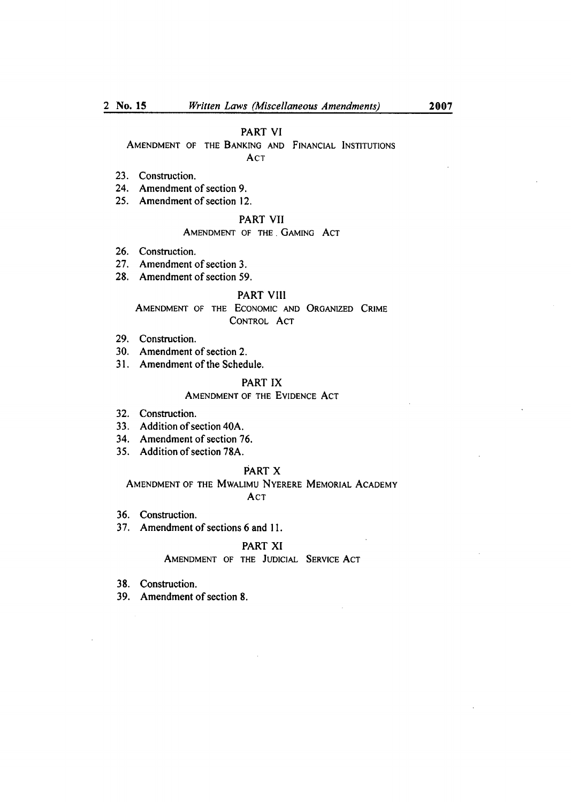### PART VI

AMENDMENT OF THE BANKING AND FINANCIAL INSTITUTIONS ACT

- 23. Construction.
- 24. Amendment of section 9.
- 25. Amendment of section 12.

# PART VII

# AMENDMENT OF THE GAMING ACT

- 26. Construction.
- 27. Amendment of section 3.
- 28. Amendment of section 59.

# PART VIII

# AMENDMENT OF THE ECONOMIC AND ORGANIZED CRIME CONTROL ACT

- 29. Construction.
- Amendment of section 2.
- Amendment of the Schedule.

# PART IX

#### AMENDMENT OF THE EVIDENCE ACT

- 32. Construction.
- Addition of section 40A.
- Amendment of section 76.
- Addition of section 78A.

### PART X

AMENDMENT OF THE MWALIMU NYERERE MEMORIAL ACADEMY ACT

- 36. Construction.
- 37, Amendment of sections 6 and 11.

# PART XI

#### AMENDMENT OF THE JUDICIAL SERVICE ACT

- 38. Construction.
- Amendment of section 8.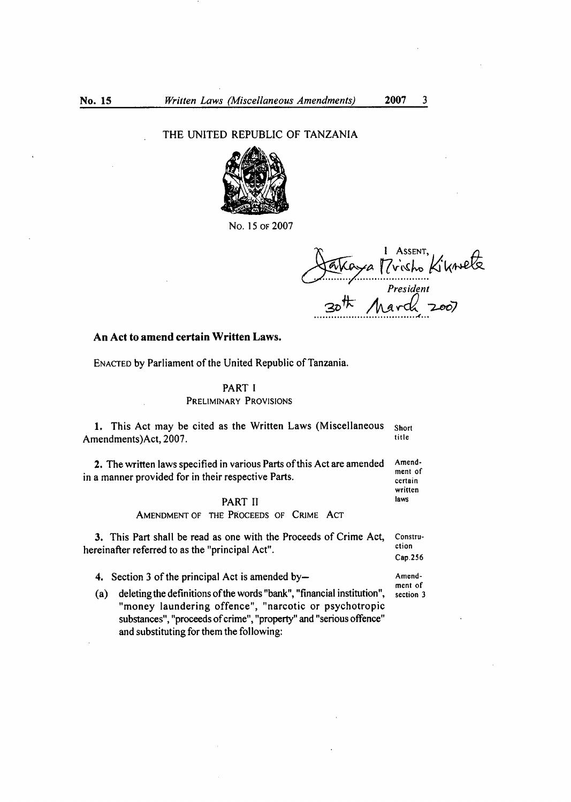THE UNITED REPUBLIC OF TANZANIA



No. 15 or 2007

I ASSENT,<br>Trisho Kiknete *President* 

# **An Act to amend certain Written Laws.**

and substituting for them the following:

ENACTED by Parliament of the United Republic of Tanzania.

PART I PRELIMINARY PROVISIONS

1. This Act may be cited as the Written Laws (Miscellaneous Short Amendments)Act, 2007. 2. The written laws specified in various Parts of this Act are amended Amendin a manner provided for in their respective Parts.  $\frac{m_{\text{en}}}{c_{\text{certain}}}$ written PART II laws AMENDMENT OF THE PROCEEDS OF CRIME ACT 3. This Part shall be read as one with the Proceeds of Crime Act, Constru-<br>naine from a formed to as the "principal Act" hereinafter referred to as the "principal Act". Cap.256 4. Section 3 of the principal Act is amended by-<br>Amendment of<br>section 3 (a) deleting the definitions of the words "bank", "financial institution", "money laundering offence", "narcotic or psychotropic substances", "proceeds of crime", "property" and "serious offence"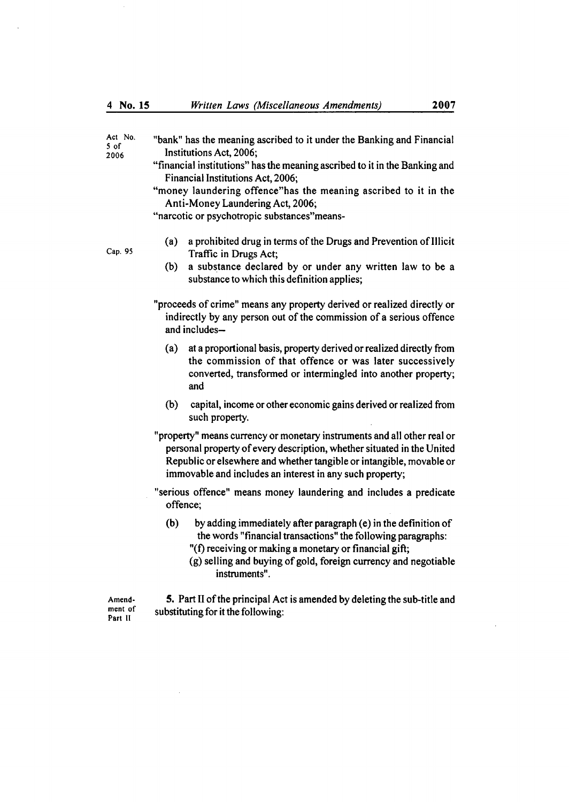Act No. "bank" has the meaning ascribed to it under the Banking and Financial  $5 \text{ of}$  $2006$  Institutions Act, 2006;

- "financial institutions" has the meaning ascribed to it in the Banking and Financial Institutions Act, 2006;
- "money laundering offence"has the meaning ascribed to it in the Anti-Money Laundering Act, 2006;

"narcotic or psychotropic substances"means-

- a prohibited drug in terms of the Drugs and Prevention of Illicit  $(a)$ Cap. 95 Traffic in Drugs Act;
	- a substance declared by or under any written law to be a  $(b)$ substance to which this definition applies;

"proceeds of crime" means any property derived or realized directly or indirectly by any person out of the commission of a serious offence and includes-

- at a proportional basis, property derived or realized directly from  $(a)$ the commission of that offence or was later successively converted, transformed or intermingled into another property; and
- $(b)$ capital, income or other economic gains derived or realized from such property.
- "property" means currency or monetary instruments and all other real or personal property of every description, whether situated in the United Republic or elsewhere and whether tangible or intangible, movable or immovable and includes an interest in any such property;
- "serious offence" means money laundering and includes a predicate offence;
	- (b) by adding immediately after paragraph (e) in the definition of the words "financial transactions" the following paragraphs:
		- "(f) receiving or making a monetary or financial gift;
		- (g) selling and buying of gold, foreign currency and negotiable instruments".

Amend. 5. Part II of the principal Act is amended by deleting the sub-title and ment of substituting for it the following:<br>Part II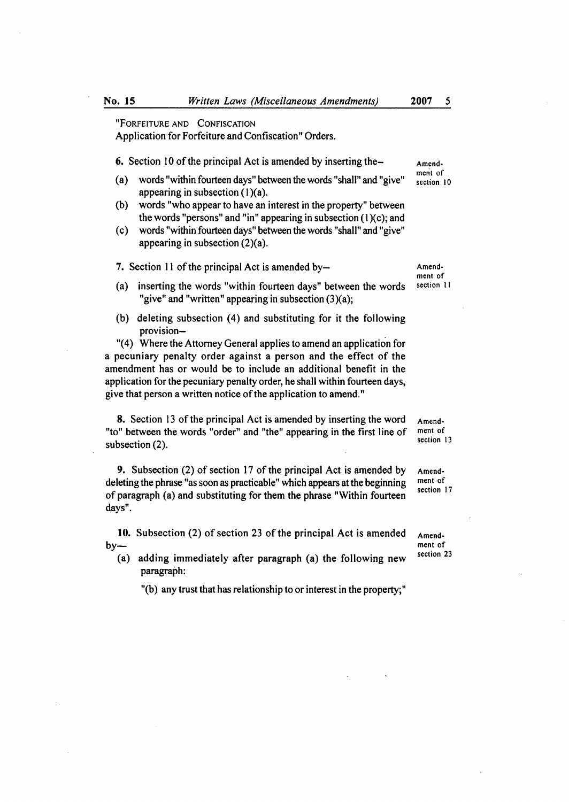"FORFEITURE AND CONFISCATION Application for Forfeiture and Confiscation" Orders.

6. Section 10 of the principal Act is amended by inserting the- $A_{\text{mend}}$ .

- $(a)$ words "within fourteen days" between the words "shall" and "give" appearing in subsection  $(1)(a)$ .
- words "who appear to have an interest in the property" between  $(b)$ the words "persons" and "in" appearing in subsection  $(1)(c)$ ; and
- $(c)$ words "within fourteen days" between the words "shall" and "give" appearing in subsection (2)(a).

7. Section 11 of the principal Act is amended by— Amend-

- (a) inserting the words "within fourteen days" between the words section 11 "give" and "written" appearing in subsection (3)(a);
- (b) deleting subsection  $(4)$  and substituting for it the following provision-

"(4) Where the Attorney General applies to amend an application for a pecuniary penalty order against a person and the effect of the amendment has or would be to include an additional benefit in the application for the pecuniary penalty order, he shall within fourteen days, give that person a written notice of the application to amend."

8. Section 13 of the principal Act is amended by inserting the word  $A_{\text{mend}}$ <br>"between the words "order" and "the" appearing in the first line of  $A_{\text{mend}}$  and "to" between the words "order" and "the" appearing in the first line of ment of subsection (2).

**9.** Subsection (2) of section 17 of the principal Act is amended by  $\alpha$  Amenddeleting the phrase "as soon as practicable" which appears at the beginning ment of<br>
ection 17 of paragraph (a) and substituting for them the phrase "Within fourteen days".

- 10. Subsection (2) of section 23 of the principal Act is amended  $A_{\text{mend}}$ . by— ment of
	- (a) adding immediately after paragraph (a) the following new section  $23$ paragraph:

"(b) any trust that has relationship to or interest in the property;"

ment of

ment of

section 10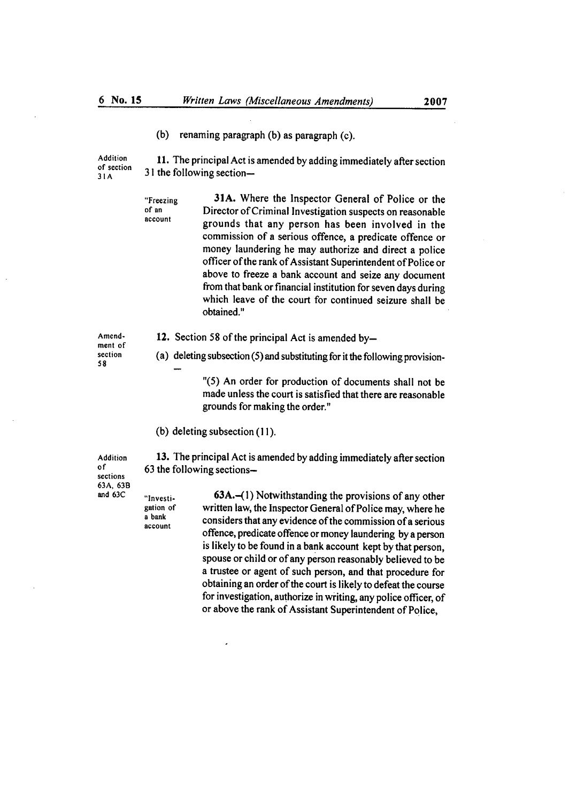(b) renaming paragraph (b) as paragraph (c).

Addition **11.** The principal Act is amended by adding immediately after section of section<br>31A  $31$  the following section-

"Freezing 31A. Where the inspector General of Police or the of an Director of Criminal Investigation suspects on reasonable grounds that any person has been involved in the commission of a serious offence, a predicate offence or money laundering he may authorize and direct a police officer of the rank of Assistant Superintendent of Police or above to freeze a bank account and seize any document from that bank or financial institution for seven days during which leave of the court for continued seizure shall be obtained."

ment of 58

- Amend- **12.** Section 58 of the principal Act is amended by-
- section (a) deleting subsection (5) and substituting for it the following provision-

"(5) An order for production of documents shall not be made unless the court is satisfied that there are reasonable grounds for making the order."

(b) deleting subsection (11).

sections 63A, 63B

Addition 13. The principal Act is amended by adding immediately after section of  $\frac{63 \text{ the following sections}}{25}$  $63$  the following sections--

"Investi- 63A.—(1) Notwithstanding the provisions of any other gation of written law, the Inspector General of Police may, where he<br>a bank consider that any suidance of the commission of section  $\frac{a}{\text{a}}$  considers that any evidence of the commission of a serious offence, predicate offence or money laundering by a person is likely to be found in a bank account kept by that person, spouse or child or of any person reasonably believed to be a trustee or agent of such person, and that procedure for obtaining an order of the court is likely to defeat the course for investigation, authorize in writing, any police officer, of or above the rank of Assistant Superintendent of Police,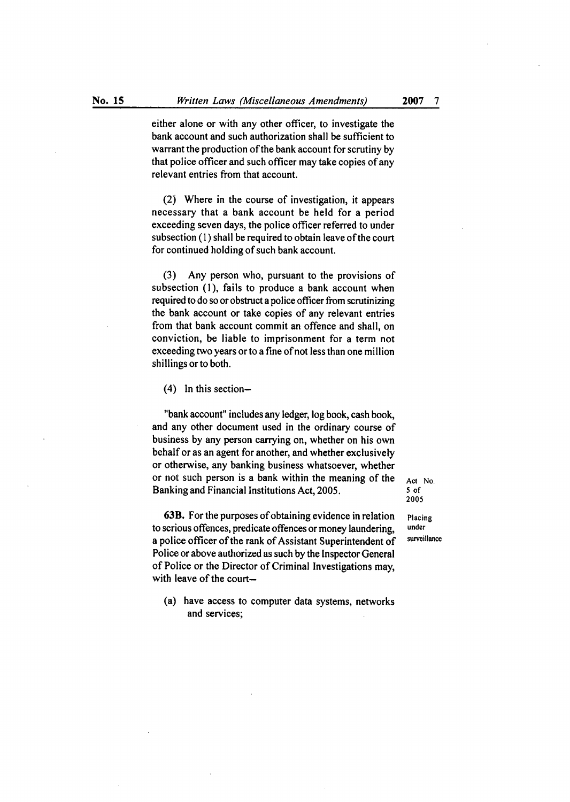either alone or with any other officer, to investigate the bank account and such authorization shall be sufficient to warrant the production of the bank account for scrutiny by that police officer and such officer may take copies of any relevant entries from that account.

Where in the course of investigation, it appears necessary that a bank account be held for a period exceeding seven days, the police officer referred to under subsection (1) shall be required to obtain leave of the court for continued holding of such bank account.

 $(3)$ Any person who, pursuant to the provisions of subsection (1), fails to produce a bank account when required to do so or obstruct a police officer from scrutinizing the bank account or take copies of any relevant entries from that bank account commit an offence and shall, on conviction, be liable to imprisonment for a term not exceeding two years or to a fine of not less than one million shillings or to both.

 $(4)$  In this section-

"bank account" includes any ledger, log book, cash book, and any other document used in the ordinary course of business by any person carrying on, whether on his own behalf or as an agent for another, and whether exclusively or otherwise, any banking business whatsoever, whether or not such person is a bank within the meaning of the  $A_{\text{ct}}$  No.<br>Banking and Financial Institutions Act 2005. Banking and Financial Institutions Act, 2005.

**63B.** For the purposes of obtaining evidence in relation **Placing**  to serious offences, predicate offences or money laundering, **under**  a police officer of the rank of Assistant Superintendent of Police or above authorized as such by the Inspector General of Police or the Director of Criminal Investigations may, with leave of the court-

(a) have access to computer data systems, networks and services;

**2005**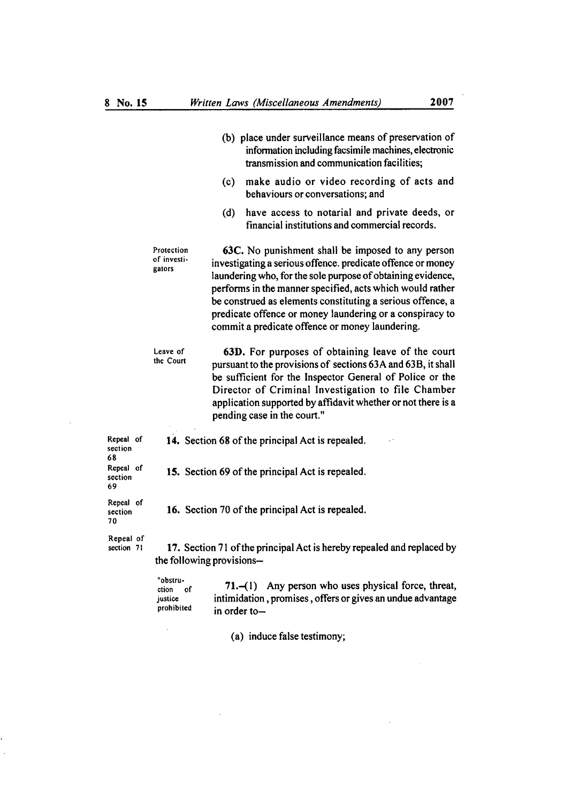(b) place under surveillance means of preservation of

|                            |                                                                                                     | information including facsimile machines, electronic<br>transmission and communication facilities;                                                                                                                                                                                                                                                                                                                        |
|----------------------------|-----------------------------------------------------------------------------------------------------|---------------------------------------------------------------------------------------------------------------------------------------------------------------------------------------------------------------------------------------------------------------------------------------------------------------------------------------------------------------------------------------------------------------------------|
|                            |                                                                                                     | make audio or video recording of acts and<br>(c)<br>behaviours or conversations; and                                                                                                                                                                                                                                                                                                                                      |
|                            |                                                                                                     | (d)<br>have access to notarial and private deeds, or<br>financial institutions and commercial records.                                                                                                                                                                                                                                                                                                                    |
|                            | Protection<br>of investi-<br>gators                                                                 | 63C. No punishment shall be imposed to any person<br>investigating a serious offence. predicate offence or money<br>laundering who, for the sole purpose of obtaining evidence,<br>performs in the manner specified, acts which would rather<br>be construed as elements constituting a serious offence, a<br>predicate offence or money laundering or a conspiracy to<br>commit a predicate offence or money laundering. |
|                            | Leave of<br>the Court                                                                               | 63D. For purposes of obtaining leave of the court<br>pursuant to the provisions of sections 63A and 63B, it shall<br>be sufficient for the Inspector General of Police or the<br>Director of Criminal Investigation to file Chamber<br>application supported by affidavit whether or not there is a<br>pending case in the court."                                                                                        |
| Repeal of<br>section<br>68 | 14. Section 68 of the principal Act is repealed.                                                    |                                                                                                                                                                                                                                                                                                                                                                                                                           |
| Repeal of<br>section<br>69 | 15. Section 69 of the principal Act is repealed.                                                    |                                                                                                                                                                                                                                                                                                                                                                                                                           |
| Repeal of<br>section<br>70 | 16. Section 70 of the principal Act is repealed.                                                    |                                                                                                                                                                                                                                                                                                                                                                                                                           |
| Repeal of<br>section 71    | 17. Section 71 of the principal Act is hereby repealed and replaced by<br>the following provisions- |                                                                                                                                                                                                                                                                                                                                                                                                                           |
|                            | "obstru-<br>ction<br><b>of</b><br>justice<br>prohibited                                             | 71.-(1) Any person who uses physical force, threat,<br>intimidation, promises, offers or gives an undue advantage<br>in order to-                                                                                                                                                                                                                                                                                         |
|                            |                                                                                                     |                                                                                                                                                                                                                                                                                                                                                                                                                           |

(a) induce false testimony;

 $\hat{\mathcal{A}}$ 

 $\overline{a}$ 

 $\bar{z}$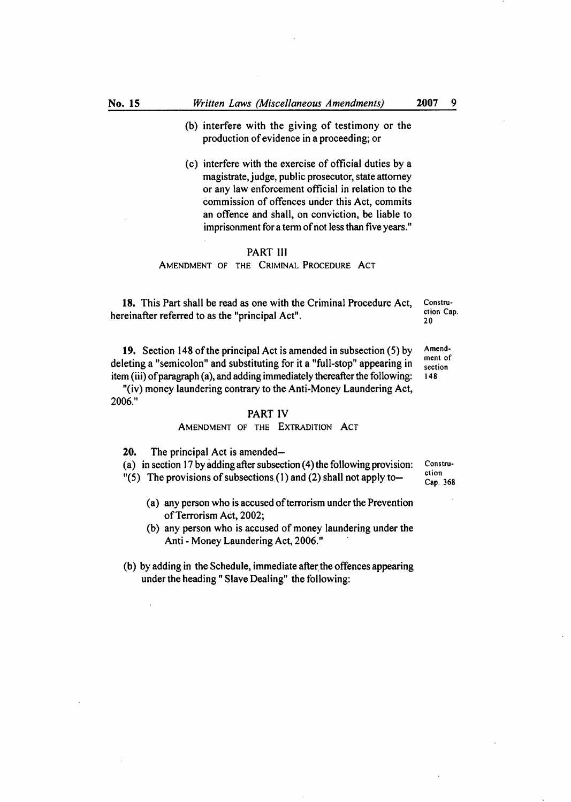- (b) interfere with the giving of testimony or the production of evidence in a proceeding; or
- (c) interfere with the exercise of official duties by a magistrate, judge, public prosecutor, state attorney or any law enforcement official in relation to the commission of offences under this Act, commits an offence and shall, on conviction, be liable to imprisonment for a term of not less than five years."

### PART Ill

#### AMENDMENT OF THE CRIMINAL PROCEDURE ACT

18. This Part shall be read as one with the Criminal Procedure Act, Constru-<br> $\frac{1}{2}$ hereinafter referred to as the "principal Act".

20

19. Section 148 of the principal Act is amended in subsection  $(5)$  by Amenddeleting a "semicolon" and substituting for it a "full-stop" appearing in  $\frac{1}{\text{section}}$ item (iii) of paragraph (a), and adding immediately thereafter the following: 148

"(iv) money laundering contrary to the Anti-Money Laundering Act, 2006."

#### PART IV

# AMENDMENT OF THE EXTRADITION ACT

20. The principal Act is amended—

(a) in section 17 by adding after subsection (4) the following provision: Constru-<br> $\frac{n(5)}{2}$ . The provisions of subsections (1) and (2) shall not apply to stion

 $"(5)$  The provisions of subsections. (1) and (2) shall not apply to-

Cap. 368

- (a) any person who is accused of terrorism under the Prevention of Terrorism Act, 2002;
- (b) any person who is accused of money laundering under the Anti - Money Laundering Act, 2006."
- (b) by adding in the Schedule, immediate after the offences appearing under the heading" Slave Dealing" the following: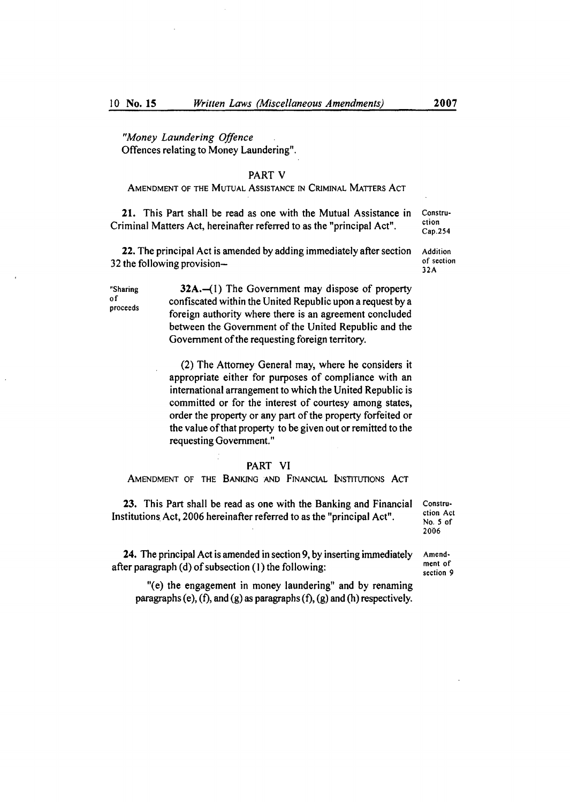*"Money Laundering Offence*  Offences relating to Money Laundering".

# PART V

# AMENDMENT OF THE MUTUAL ASSISTANCE IN CRIMINAL MATTERS ACT

21. This Part shall be read as one with the Mutual Assistance in Constru-<br>iminal Matters Ast begains from the as the "numerical Ast" stion Criminal Matters Act, hereinafter referred to as the "principal Act".  $\frac{c_{\text{top}}}{c_{\text{ap}}.254}$ 

**22.** The principal Act is amended by adding immediately after section  $\overrightarrow{A}$  Addition the following provision  $32$  the following provision-

Sharing *32A..—(1)* The Government may dispose of property <sup>of</sup> confiscated within the United Republic upon a request by a proceeds foreign authority where there is an agreement concluded between the Government of the United Republic and the Government of the requesting foreign territory.

> (2) The Attorney General may, where he considers it appropriate either for purposes of compliance with an international arrangement to which the United Republic is committed or for the interest of courtesy among states, order the property or any part of the property forfeited or the value of that property to be given out or remitted to the requesting Government."

#### PART VI

AMENDMENT OF THE BANKING AND FINANCIAL INSTITUTIONS ACT

23. This Part shall be read as one with the Banking and Financial Constru-<br>titutions Act 2006 begans the referred to as the "principal Act" ction Act Institutions Act, 2006 hereinafter referred to as the "principal Act".

No. 5 of 2006

section 9

24. The principal Act is amended in section 9, by inserting immediately  $\overline{A}$  amend-<br>next of after paragraph (d) of subsection  $(1)$  the following:

"(e) the engagement in money laundering" and by renaming paragraphs (e),  $(f)$ , and  $(g)$  as paragraphs  $(f)$ ,  $(g)$  and  $(h)$  respectively.

32A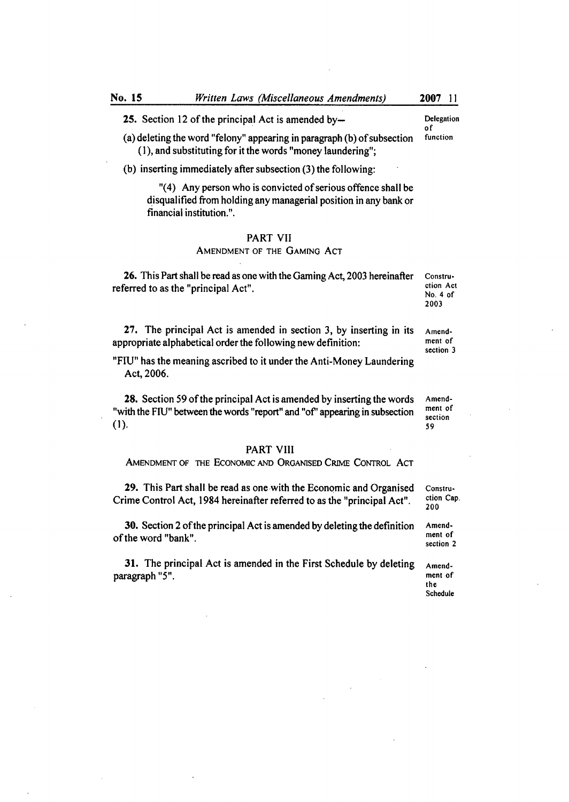**25.** Section 12 of the principal Act is amended by— Delegation

 $(a)$  deleting the word "felony" appearing in paragraph  $(b)$  of subsection (1), and substituting for it the words "money laundering";

(b) inserting immediately after subsection  $(3)$  the following:

"(4) Any person who is convicted of serious offence shall be disqualified from holding any managerial position in any bank or financial institution.".

### PART VII

# AMENDMENT OF THE GAMING AcT

**26.** This Part shall be read as one with the Gaming Act, 2003 hereinafter Constru-<br>Ferred to as the "principal Act" referred to as the "principal Act".  $N_{0.4 \text{ of}}$ 

27. The principal Act is amended in section 3, by inserting in its Amendappropriate alphabetical order the following new definition: ment of section 3

"FlU" has the meaning ascribed to it under the Anti-Money Laundering Act, 2006.

28. Section 59 of the principal Act is amended by inserting the words Amend-"with the FIU" between the words "report" and "of" appearing in subsection section<br>59 (1). 59

#### PART VIII

AMENDMENT OF THE ECONOMiC AND ORGANiSED CRIME CONTROL ACT

29. This Part shall be read as one with the Economic and Organised Constru-<br>ime Control Act, 1984 hereinafter referred to as the "principal Act" stion Cap. Crime Control Act, 1984 hereinafter referred to as the "principal Act".

30. Section 2 of the principal Act is amended by deleting the definition Amend-<br>the word "benk" of the word "bank".

**31.** The principal Act is amended in the First Schedule by deleting Amend-<br>ragraph "5". paragraph "5".

200

section 2

the Schedule

2003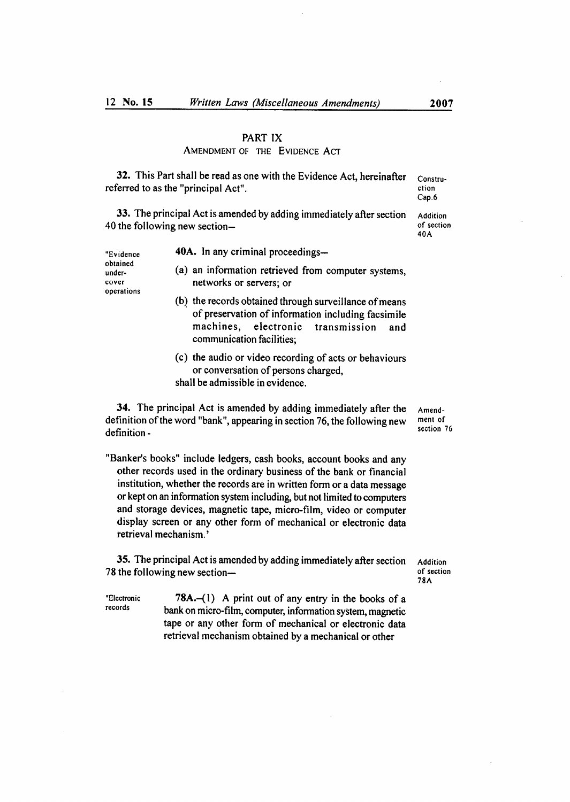# PART IX

# AMENDMENT OF THE EVIDENCE ACT

**32.** This Part shall be read as one with the Evidence Act, hereinafter constru-<br>ferred to as the "principal Act". referred to as the "principal Act". Cap.6

33. The principal Act is amended by adding immediately after section Addition<br>the following new section—<br>of section 40 the following new section—<br>40A

| "Evidence                                 | 40A. In any criminal proceedings—                                                                                                                        |
|-------------------------------------------|----------------------------------------------------------------------------------------------------------------------------------------------------------|
| obtained<br>under-<br>cover<br>operations | (a) an information retrieved from computer systems,<br>networks or servers; or                                                                           |
|                                           | (b) the records obtained through surveillance of means<br>of preservation of information including facsimile<br>machines, electronic transmission<br>and |

(c) the audio or video recording of acts or behaviours or conversation of persons charged, shall be admissible in evidence.

**34.** The principal Act is amended by adding immediately after the  $\Delta$  Amend-<br>finition of the word "bank", annearing in section 76, the following new ment of definition of the word "bank", appearing in section 76, the following new ment of definition  $definition -$  section 76

communication facilities;

"Banker's books" include ledgers, cash books, account books and any other records used in the ordinary business of the bank or financial institution, whether the records are in written form or a data message or kept on an information system including, but not limited to computers and storage devices, magnetic tape, micro-film, video or computer display screen or any other form of mechanical or electronic data retrieval mechanism.'

35. The principal Act is amended by adding immediately after section Addition<br>the following new section— 78 the following new section-

78A

"Electronic *78A.—(1)* A print out of any entry in the books of a bank on micro-film, computer, information system, magnetic tape or any other form of mechanical or electronic data retrieval mechanism obtained by a mechanical or other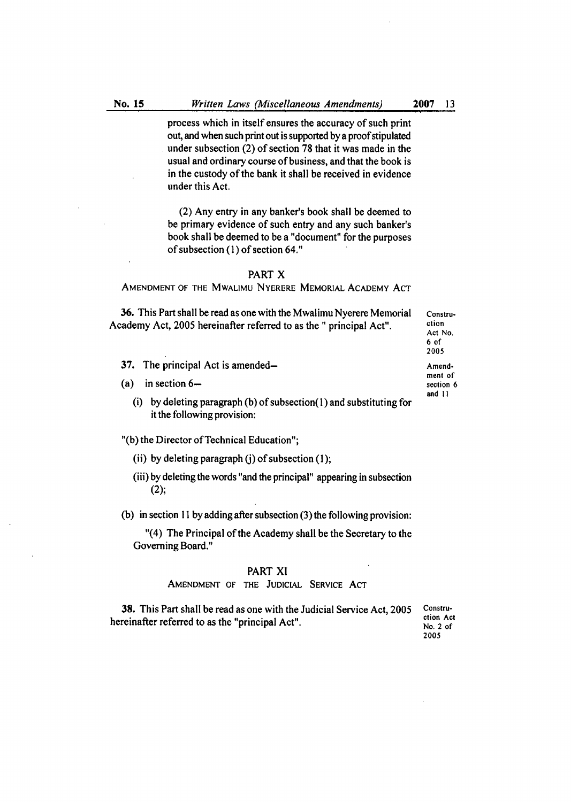process which in itself ensures the accuracy of such print out, and when such print out is supported by a proof stipulated under subsection (2) of section 78 that it was made in the usual and ordinary course of business, and that the book is in the custody of the bank it shall be received in evidence under this Act.

(2) Any entry in any banker's book shall be deemed to be primary evidence of such entry and any such banker's book shall be deemed to be a "document" for the purposes of subsection (1) of section 64."

#### PART X

AMENDMENT OF THE MWALIMU NYERERE MEMORIAL ACADEMY ACT

36. This Part shall be read as one with the Mwalimu Nyerere Memorial Constru-Academy Act, 2005 hereinafter referred to as the " principal Act". ction

- 37. The principal Act is amended—  $\blacksquare$
- (a) in section  $6\text{--}$ 
	- (i) by deleting paragraph (b) of subsection(1) and substituting for it the following provision:

"(b) the Director of Technical Education";

- (ii) by deleting paragraph (j) of subsection  $(1)$ ;
- by deleting the words "and the principal" appearing in subsection (2);

(b) in section 11 by adding after subsection (3) the following provision:

"(4) The Principal of the Academy shall be the Secretary to the Governing Board."

# PART Xl

# AMENDMENT OF THE JUDICIAL SERVICE ACT

**38.** This Part shall be read as one with the Judicial Service Act, 2005 Constru-<br>hereinafter referred to as the "principal Act".<br>No. 2 of

2005

Act No. 6 of 2005 ment of and ii